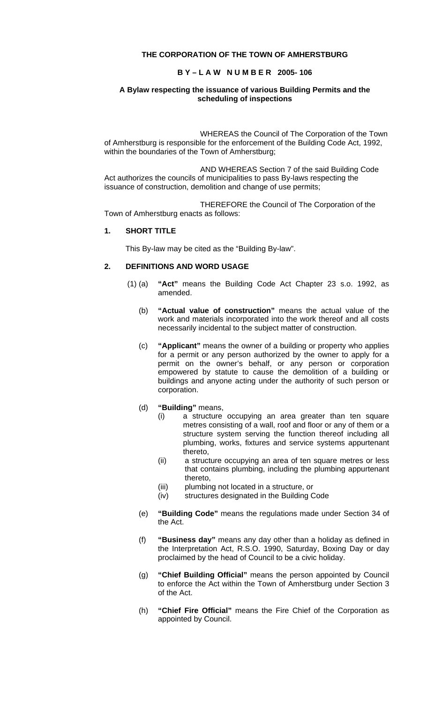#### **THE CORPORATION OF THE TOWN OF AMHERSTBURG**

### **B Y – L A W N U M B E R 2005- 106**

#### **A Bylaw respecting the issuance of various Building Permits and the scheduling of inspections**

WHEREAS the Council of The Corporation of the Town of Amherstburg is responsible for the enforcement of the Building Code Act, 1992, within the boundaries of the Town of Amherstburg;

AND WHEREAS Section 7 of the said Building Code Act authorizes the councils of municipalities to pass By-laws respecting the issuance of construction, demolition and change of use permits;

THEREFORE the Council of The Corporation of the Town of Amherstburg enacts as follows:

#### **1. SHORT TITLE**

This By-law may be cited as the "Building By-law".

## **2. DEFINITIONS AND WORD USAGE**

- (1) (a) **"Act"** means the Building Code Act Chapter 23 s.o. 1992, as amended.
	- (b) **"Actual value of construction"** means the actual value of the work and materials incorporated into the work thereof and all costs necessarily incidental to the subject matter of construction.
	- (c) **"Applicant"** means the owner of a building or property who applies for a permit or any person authorized by the owner to apply for a permit on the owner's behalf, or any person or corporation empowered by statute to cause the demolition of a building or buildings and anyone acting under the authority of such person or corporation.
	- (d) **"Building"** means,
		- (i) a structure occupying an area greater than ten square metres consisting of a wall, roof and floor or any of them or a structure system serving the function thereof including all plumbing, works, fixtures and service systems appurtenant thereto,
		- (ii) a structure occupying an area of ten square metres or less that contains plumbing, including the plumbing appurtenant thereto,
		- (iii) plumbing not located in a structure, or
		- (iv) structures designated in the Building Code
	- (e) **"Building Code"** means the regulations made under Section 34 of the Act.
	- (f) **"Business day"** means any day other than a holiday as defined in the Interpretation Act, R.S.O. 1990, Saturday, Boxing Day or day proclaimed by the head of Council to be a civic holiday.
	- (g) **"Chief Building Official"** means the person appointed by Council to enforce the Act within the Town of Amherstburg under Section 3 of the Act.
	- (h) **"Chief Fire Official"** means the Fire Chief of the Corporation as appointed by Council.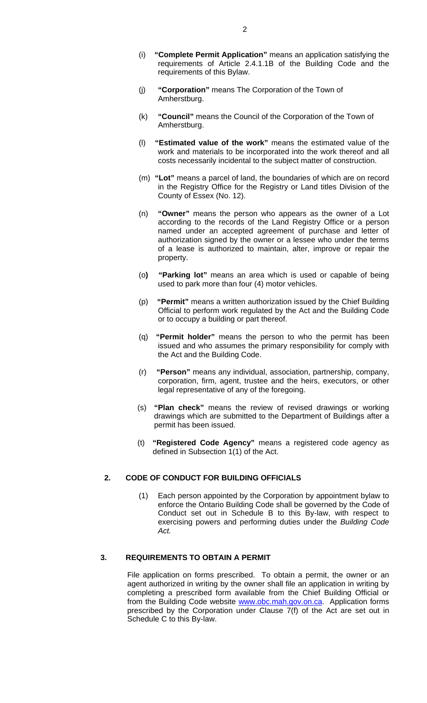- (i) **"Complete Permit Application"** means an application satisfying the requirements of Article 2.4.1.1B of the Building Code and the requirements of this Bylaw.
- (j) **"Corporation"** means The Corporation of the Town of Amherstburg.
- (k) **"Council"** means the Council of the Corporation of the Town of Amherstburg.
- (l) **"Estimated value of the work"** means the estimated value of the work and materials to be incorporated into the work thereof and all costs necessarily incidental to the subject matter of construction.
- (m) **"Lot"** means a parcel of land, the boundaries of which are on record in the Registry Office for the Registry or Land titles Division of the County of Essex (No. 12).
- (n) **"Owner"** means the person who appears as the owner of a Lot according to the records of the Land Registry Office or a person named under an accepted agreement of purchase and letter of authorization signed by the owner or a lessee who under the terms of a lease is authorized to maintain, alter, improve or repair the property.
- (o**) "Parking lot"** means an area which is used or capable of being used to park more than four (4) motor vehicles.
- (p) **"Permit"** means a written authorization issued by the Chief Building Official to perform work regulated by the Act and the Building Code or to occupy a building or part thereof.
- (q) **"Permit holder"** means the person to who the permit has been issued and who assumes the primary responsibility for comply with the Act and the Building Code.
- (r) **"Person"** means any individual, association, partnership, company, corporation, firm, agent, trustee and the heirs, executors, or other legal representative of any of the foregoing.
- (s) **"Plan check"** means the review of revised drawings or working drawings which are submitted to the Department of Buildings after a permit has been issued.
- (t) **"Registered Code Agency"** means a registered code agency as defined in Subsection 1(1) of the Act.

#### **2. CODE OF CONDUCT FOR BUILDING OFFICIALS**

(1) Each person appointed by the Corporation by appointment bylaw to enforce the Ontario Building Code shall be governed by the Code of Conduct set out in Schedule B to this By-law, with respect to exercising powers and performing duties under the *Building Code Act.*

#### **3. REQUIREMENTS TO OBTAIN A PERMIT**

File application on forms prescribed. To obtain a permit, the owner or an agent authorized in writing by the owner shall file an application in writing by completing a prescribed form available from the Chief Building Official or from the Building Code website [www.obc.mah.gov.on.ca.](http://www.obc.mah.gov.on.ca/) Application forms prescribed by the Corporation under Clause 7(f) of the Act are set out in Schedule C to this By-law.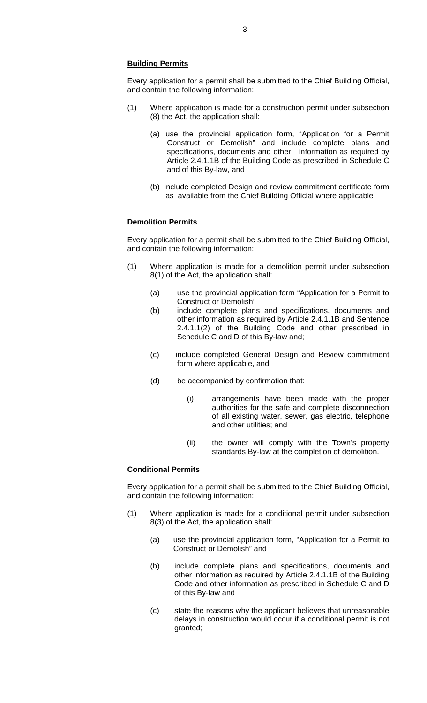#### **Building Permits**

Every application for a permit shall be submitted to the Chief Building Official, and contain the following information:

- (1) Where application is made for a construction permit under subsection (8) the Act, the application shall:
	- (a) use the provincial application form, "Application for a Permit Construct or Demolish" and include complete plans and specifications, documents and other information as required by Article 2.4.1.1B of the Building Code as prescribed in Schedule C and of this By-law, and
	- (b) include completed Design and review commitment certificate form as available from the Chief Building Official where applicable

#### **Demolition Permits**

Every application for a permit shall be submitted to the Chief Building Official, and contain the following information:

- (1) Where application is made for a demolition permit under subsection 8(1) of the Act, the application shall:
	- (a) use the provincial application form "Application for a Permit to Construct or Demolish"
	- (b) include complete plans and specifications, documents and other information as required by Article 2.4.1.1B and Sentence 2.4.1.1(2) of the Building Code and other prescribed in Schedule C and D of this By-law and;
	- (c) include completed General Design and Review commitment form where applicable, and
	- (d) be accompanied by confirmation that:
		- (i) arrangements have been made with the proper authorities for the safe and complete disconnection of all existing water, sewer, gas electric, telephone and other utilities; and
		- (ii) the owner will comply with the Town's property standards By-law at the completion of demolition.

#### **Conditional Permits**

Every application for a permit shall be submitted to the Chief Building Official, and contain the following information:

- (1) Where application is made for a conditional permit under subsection 8(3) of the Act, the application shall:
	- (a) use the provincial application form, "Application for a Permit to Construct or Demolish" and
	- (b) include complete plans and specifications, documents and other information as required by Article 2.4.1.1B of the Building Code and other information as prescribed in Schedule C and D of this By-law and
	- (c) state the reasons why the applicant believes that unreasonable delays in construction would occur if a conditional permit is not granted;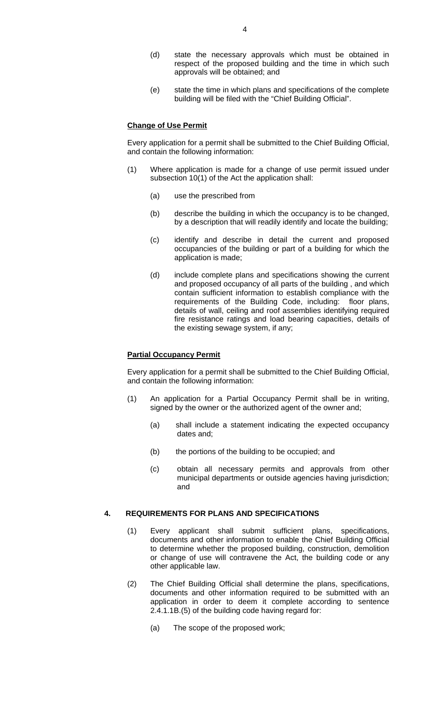- (d) state the necessary approvals which must be obtained in respect of the proposed building and the time in which such approvals will be obtained; and
- (e) state the time in which plans and specifications of the complete building will be filed with the "Chief Building Official".

#### **Change of Use Permit**

Every application for a permit shall be submitted to the Chief Building Official, and contain the following information:

- (1) Where application is made for a change of use permit issued under subsection 10(1) of the Act the application shall:
	- (a) use the prescribed from
	- (b) describe the building in which the occupancy is to be changed, by a description that will readily identify and locate the building;
	- (c) identify and describe in detail the current and proposed occupancies of the building or part of a building for which the application is made;
	- (d) include complete plans and specifications showing the current and proposed occupancy of all parts of the building , and which contain sufficient information to establish compliance with the requirements of the Building Code, including: floor plans, details of wall, ceiling and roof assemblies identifying required fire resistance ratings and load bearing capacities, details of the existing sewage system, if any;

#### **Partial Occupancy Permit**

Every application for a permit shall be submitted to the Chief Building Official, and contain the following information:

- (1) An application for a Partial Occupancy Permit shall be in writing, signed by the owner or the authorized agent of the owner and;
	- (a) shall include a statement indicating the expected occupancy dates and;
	- (b) the portions of the building to be occupied; and
	- (c) obtain all necessary permits and approvals from other municipal departments or outside agencies having jurisdiction; and

#### **4. REQUIREMENTS FOR PLANS AND SPECIFICATIONS**

- (1) Every applicant shall submit sufficient plans, specifications, documents and other information to enable the Chief Building Official to determine whether the proposed building, construction, demolition or change of use will contravene the Act, the building code or any other applicable law.
- (2) The Chief Building Official shall determine the plans, specifications, documents and other information required to be submitted with an application in order to deem it complete according to sentence 2.4.1.1B.(5) of the building code having regard for:
	- (a) The scope of the proposed work;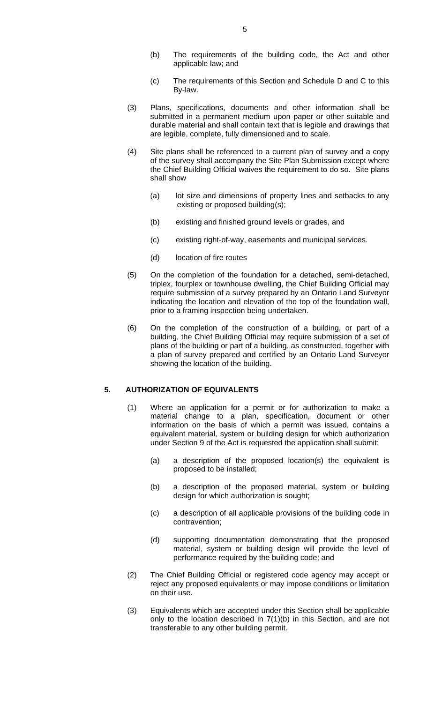- (b) The requirements of the building code, the Act and other applicable law; and
- (c) The requirements of this Section and Schedule D and C to this By-law.
- (3) Plans, specifications, documents and other information shall be submitted in a permanent medium upon paper or other suitable and durable material and shall contain text that is legible and drawings that are legible, complete, fully dimensioned and to scale.
- (4) Site plans shall be referenced to a current plan of survey and a copy of the survey shall accompany the Site Plan Submission except where the Chief Building Official waives the requirement to do so. Site plans shall show
	- (a) lot size and dimensions of property lines and setbacks to any existing or proposed building(s);
	- (b) existing and finished ground levels or grades, and
	- (c) existing right-of-way, easements and municipal services.
	- (d) location of fire routes
- (5) On the completion of the foundation for a detached, semi-detached, triplex, fourplex or townhouse dwelling, the Chief Building Official may require submission of a survey prepared by an Ontario Land Surveyor indicating the location and elevation of the top of the foundation wall, prior to a framing inspection being undertaken.
- (6) On the completion of the construction of a building, or part of a building, the Chief Building Official may require submission of a set of plans of the building or part of a building, as constructed, together with a plan of survey prepared and certified by an Ontario Land Surveyor showing the location of the building.

#### **5. AUTHORIZATION OF EQUIVALENTS**

- (1) Where an application for a permit or for authorization to make a material change to a plan, specification, document or other information on the basis of which a permit was issued, contains a equivalent material, system or building design for which authorization under Section 9 of the Act is requested the application shall submit:
	- (a) a description of the proposed location(s) the equivalent is proposed to be installed;
	- (b) a description of the proposed material, system or building design for which authorization is sought;
	- (c) a description of all applicable provisions of the building code in contravention;
	- (d) supporting documentation demonstrating that the proposed material, system or building design will provide the level of performance required by the building code; and
- (2) The Chief Building Official or registered code agency may accept or reject any proposed equivalents or may impose conditions or limitation on their use.
- (3) Equivalents which are accepted under this Section shall be applicable only to the location described in 7(1)(b) in this Section, and are not transferable to any other building permit.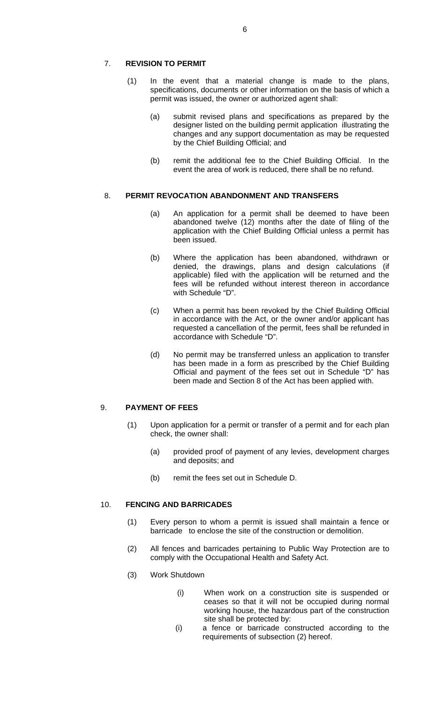#### 7. **REVISION TO PERMIT**

- (1) In the event that a material change is made to the plans, specifications, documents or other information on the basis of which a permit was issued, the owner or authorized agent shall:
	- (a) submit revised plans and specifications as prepared by the designer listed on the building permit application illustrating the changes and any support documentation as may be requested by the Chief Building Official; and
	- (b) remit the additional fee to the Chief Building Official. In the event the area of work is reduced, there shall be no refund.

#### 8. **PERMIT REVOCATION ABANDONMENT AND TRANSFERS**

- (a) An application for a permit shall be deemed to have been abandoned twelve (12) months after the date of filing of the application with the Chief Building Official unless a permit has been issued.
- (b) Where the application has been abandoned, withdrawn or denied, the drawings, plans and design calculations (if applicable) filed with the application will be returned and the fees will be refunded without interest thereon in accordance with Schedule "D".
- (c) When a permit has been revoked by the Chief Building Official in accordance with the Act, or the owner and/or applicant has requested a cancellation of the permit, fees shall be refunded in accordance with Schedule "D".
- (d) No permit may be transferred unless an application to transfer has been made in a form as prescribed by the Chief Building Official and payment of the fees set out in Schedule "D" has been made and Section 8 of the Act has been applied with.

#### 9. **PAYMENT OF FEES**

- (1) Upon application for a permit or transfer of a permit and for each plan check, the owner shall:
	- (a) provided proof of payment of any levies, development charges and deposits; and
	- (b) remit the fees set out in Schedule D.

#### 10. **FENCING AND BARRICADES**

- (1) Every person to whom a permit is issued shall maintain a fence or barricade to enclose the site of the construction or demolition.
- (2) All fences and barricades pertaining to Public Way Protection are to comply with the Occupational Health and Safety Act.
- (3) Work Shutdown
	- (i) When work on a construction site is suspended or ceases so that it will not be occupied during normal working house, the hazardous part of the construction site shall be protected by:
	- (i) a fence or barricade constructed according to the requirements of subsection (2) hereof.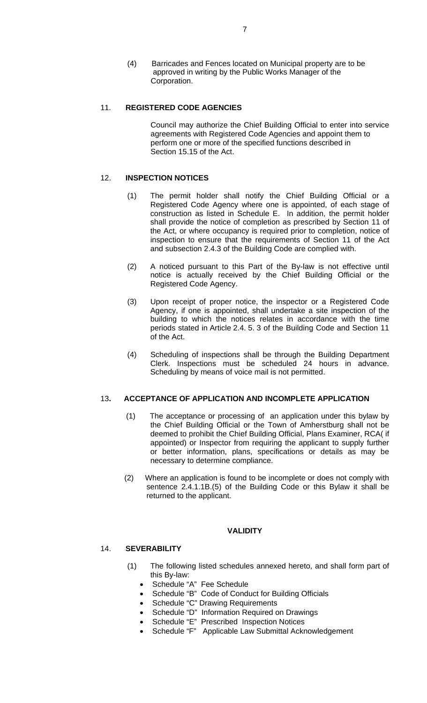(4) Barricades and Fences located on Municipal property are to be approved in writing by the Public Works Manager of the Corporation.

#### 11. **REGISTERED CODE AGENCIES**

 Council may authorize the Chief Building Official to enter into service agreements with Registered Code Agencies and appoint them to perform one or more of the specified functions described in Section 15.15 of the Act.

#### 12. **INSPECTION NOTICES**

- (1) The permit holder shall notify the Chief Building Official or a Registered Code Agency where one is appointed, of each stage of construction as listed in Schedule E. In addition, the permit holder shall provide the notice of completion as prescribed by Section 11 of the Act, or where occupancy is required prior to completion, notice of inspection to ensure that the requirements of Section 11 of the Act and subsection 2.4.3 of the Building Code are complied with.
- (2) A noticed pursuant to this Part of the By-law is not effective until notice is actually received by the Chief Building Official or the Registered Code Agency.
- (3) Upon receipt of proper notice, the inspector or a Registered Code Agency, if one is appointed, shall undertake a site inspection of the building to which the notices relates in accordance with the time periods stated in Article 2.4. 5. 3 of the Building Code and Section 11 of the Act.
- (4) Scheduling of inspections shall be through the Building Department Clerk. Inspections must be scheduled 24 hours in advance. Scheduling by means of voice mail is not permitted.

#### 13**. ACCEPTANCE OF APPLICATION AND INCOMPLETE APPLICATION**

- (1) The acceptance or processing of an application under this bylaw by the Chief Building Official or the Town of Amherstburg shall not be deemed to prohibit the Chief Building Official, Plans Examiner, RCA( if appointed) or Inspector from requiring the applicant to supply further or better information, plans, specifications or details as may be necessary to determine compliance.
- (2) Where an application is found to be incomplete or does not comply with sentence 2.4.1.1B.(5) of the Building Code or this Bylaw it shall be returned to the applicant.

### **VALIDITY**

#### 14. **SEVERABILITY**

- (1) The following listed schedules annexed hereto, and shall form part of this By-law:
	- Schedule "A" Fee Schedule
	- Schedule "B" Code of Conduct for Building Officials
	- Schedule "C" Drawing Requirements
	- Schedule "D" Information Required on Drawings
	- Schedule "E" Prescribed Inspection Notices
	- Schedule "F" Applicable Law Submittal Acknowledgement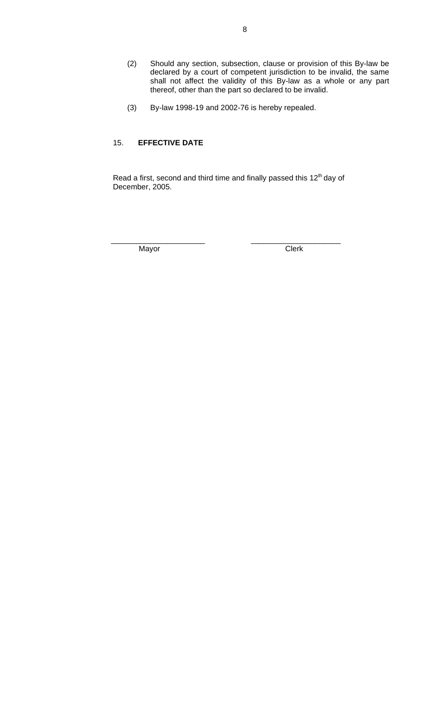- (2) Should any section, subsection, clause or provision of this By-law be declared by a court of competent jurisdiction to be invalid, the same shall not affect the validity of this By-law as a whole or any part thereof, other than the part so declared to be invalid.
- (3) By-law 1998-19 and 2002-76 is hereby repealed.

## 15. **EFFECTIVE DATE**

Read a first, second and third time and finally passed this 12<sup>th</sup> day of December, 2005.

 $\overline{\phantom{a}}$  , and the contract of the contract of the contract of the contract of the contract of the contract of the contract of the contract of the contract of the contract of the contract of the contract of the contrac

Mayor **Clerk**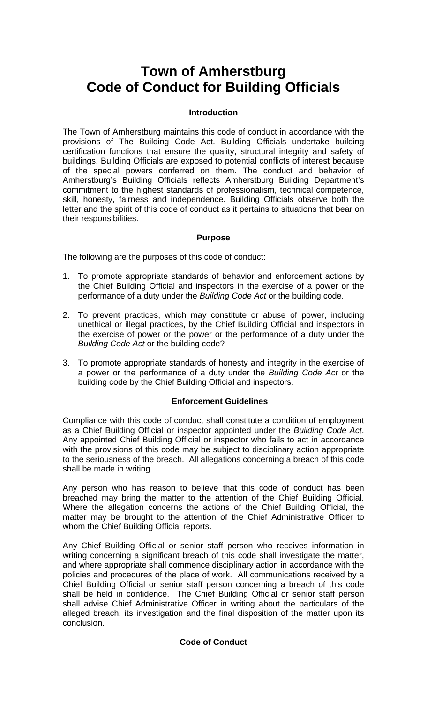# **Town of Amherstburg Code of Conduct for Building Officials**

## **Introduction**

The Town of Amherstburg maintains this code of conduct in accordance with the provisions of The Building Code Act. Building Officials undertake building certification functions that ensure the quality, structural integrity and safety of buildings. Building Officials are exposed to potential conflicts of interest because of the special powers conferred on them. The conduct and behavior of Amherstburg's Building Officials reflects Amherstburg Building Department's commitment to the highest standards of professionalism, technical competence, skill, honesty, fairness and independence. Building Officials observe both the letter and the spirit of this code of conduct as it pertains to situations that bear on their responsibilities.

## **Purpose**

The following are the purposes of this code of conduct:

- 1. To promote appropriate standards of behavior and enforcement actions by the Chief Building Official and inspectors in the exercise of a power or the performance of a duty under the *Building Code Act* or the building code.
- 2. To prevent practices, which may constitute or abuse of power, including unethical or illegal practices, by the Chief Building Official and inspectors in the exercise of power or the power or the performance of a duty under the *Building Code Act* or the building code?
- 3. To promote appropriate standards of honesty and integrity in the exercise of a power or the performance of a duty under the *Building Code Act* or the building code by the Chief Building Official and inspectors.

## **Enforcement Guidelines**

Compliance with this code of conduct shall constitute a condition of employment as a Chief Building Official or inspector appointed under the *Building Code Act*. Any appointed Chief Building Official or inspector who fails to act in accordance with the provisions of this code may be subject to disciplinary action appropriate to the seriousness of the breach. All allegations concerning a breach of this code shall be made in writing.

Any person who has reason to believe that this code of conduct has been breached may bring the matter to the attention of the Chief Building Official. Where the allegation concerns the actions of the Chief Building Official, the matter may be brought to the attention of the Chief Administrative Officer to whom the Chief Building Official reports.

Any Chief Building Official or senior staff person who receives information in writing concerning a significant breach of this code shall investigate the matter, and where appropriate shall commence disciplinary action in accordance with the policies and procedures of the place of work. All communications received by a Chief Building Official or senior staff person concerning a breach of this code shall be held in confidence. The Chief Building Official or senior staff person shall advise Chief Administrative Officer in writing about the particulars of the alleged breach, its investigation and the final disposition of the matter upon its conclusion.

## **Code of Conduct**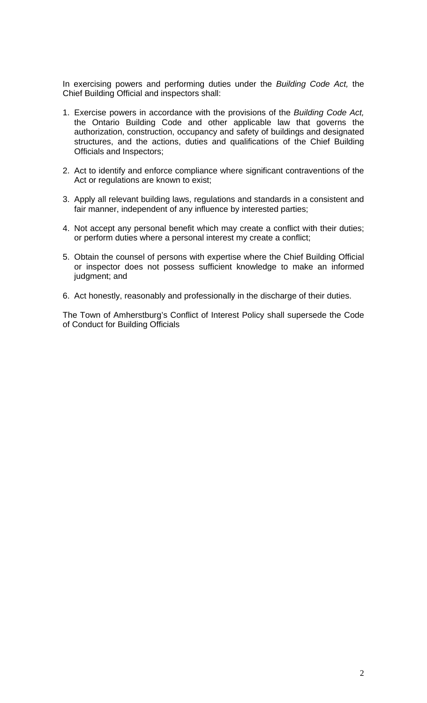In exercising powers and performing duties under the *Building Code Act,* the Chief Building Official and inspectors shall:

- 1. Exercise powers in accordance with the provisions of the *Building Code Act,* the Ontario Building Code and other applicable law that governs the authorization, construction, occupancy and safety of buildings and designated structures, and the actions, duties and qualifications of the Chief Building Officials and Inspectors;
- 2. Act to identify and enforce compliance where significant contraventions of the Act or regulations are known to exist;
- 3. Apply all relevant building laws, regulations and standards in a consistent and fair manner, independent of any influence by interested parties;
- 4. Not accept any personal benefit which may create a conflict with their duties; or perform duties where a personal interest my create a conflict;
- 5. Obtain the counsel of persons with expertise where the Chief Building Official or inspector does not possess sufficient knowledge to make an informed judgment; and
- 6. Act honestly, reasonably and professionally in the discharge of their duties.

The Town of Amherstburg's Conflict of Interest Policy shall supersede the Code of Conduct for Building Officials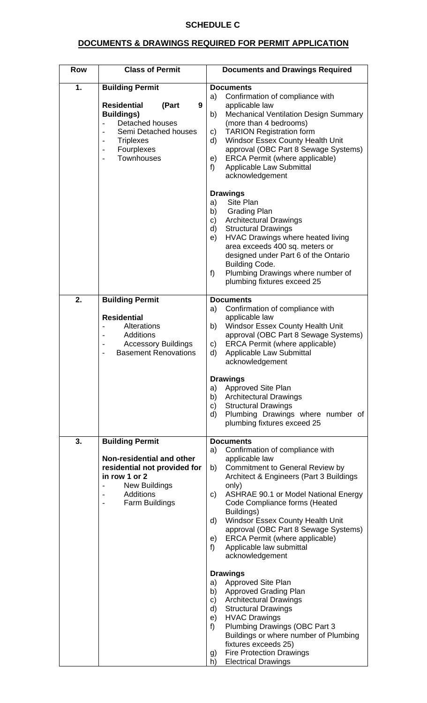## **SCHEDULE C**

## **DOCUMENTS & DRAWINGS REQUIRED FOR PERMIT APPLICATION**

| <b>Row</b> | <b>Class of Permit</b>                                                                                                                                                            | <b>Documents and Drawings Required</b>                                                                                                                                                                                                                                                                                                                                                                                                                                                                                                                                                                                                                                                                                                                                                                                                                              |
|------------|-----------------------------------------------------------------------------------------------------------------------------------------------------------------------------------|---------------------------------------------------------------------------------------------------------------------------------------------------------------------------------------------------------------------------------------------------------------------------------------------------------------------------------------------------------------------------------------------------------------------------------------------------------------------------------------------------------------------------------------------------------------------------------------------------------------------------------------------------------------------------------------------------------------------------------------------------------------------------------------------------------------------------------------------------------------------|
| 1.         | <b>Building Permit</b><br><b>Residential</b><br>(Part<br>9<br><b>Buildings)</b><br><b>Detached houses</b><br>Semi Detached houses<br><b>Triplexes</b><br>Fourplexes<br>Townhouses | <b>Documents</b><br>Confirmation of compliance with<br>a)<br>applicable law<br><b>Mechanical Ventilation Design Summary</b><br>b)<br>(more than 4 bedrooms)<br><b>TARION Registration form</b><br>C)<br>Windsor Essex County Health Unit<br>d)<br>approval (OBC Part 8 Sewage Systems)<br>ERCA Permit (where applicable)<br>e)<br>Applicable Law Submittal<br>f)<br>acknowledgement                                                                                                                                                                                                                                                                                                                                                                                                                                                                                 |
|            |                                                                                                                                                                                   | <b>Drawings</b><br>Site Plan<br>a)<br>b)<br><b>Grading Plan</b><br><b>Architectural Drawings</b><br>c)<br><b>Structural Drawings</b><br>d)<br>HVAC Drawings where heated living<br>e)<br>area exceeds 400 sq. meters or<br>designed under Part 6 of the Ontario<br><b>Building Code.</b><br>Plumbing Drawings where number of<br>f)<br>plumbing fixtures exceed 25                                                                                                                                                                                                                                                                                                                                                                                                                                                                                                  |
| 2.         | <b>Building Permit</b><br><b>Residential</b><br>Alterations<br><b>Additions</b><br><b>Accessory Buildings</b><br><b>Basement Renovations</b>                                      | <b>Documents</b><br>Confirmation of compliance with<br>a)<br>applicable law<br><b>Windsor Essex County Health Unit</b><br>b)<br>approval (OBC Part 8 Sewage Systems)<br>ERCA Permit (where applicable)<br>c)<br>Applicable Law Submittal<br>d)<br>acknowledgement<br><b>Drawings</b><br><b>Approved Site Plan</b><br>a)<br><b>Architectural Drawings</b><br>b)<br><b>Structural Drawings</b><br>C)<br>Plumbing Drawings where number of<br>d)<br>plumbing fixtures exceed 25                                                                                                                                                                                                                                                                                                                                                                                        |
| 3.         | <b>Building Permit</b><br>Non-residential and other<br>residential not provided for<br>in row 1 or 2<br><b>New Buildings</b><br><b>Additions</b><br><b>Farm Buildings</b>         | <b>Documents</b><br>Confirmation of compliance with<br>a)<br>applicable law<br><b>Commitment to General Review by</b><br>b)<br>Architect & Engineers (Part 3 Buildings<br>only)<br><b>ASHRAE 90.1 or Model National Energy</b><br>C)<br>Code Compliance forms (Heated<br>Buildings)<br>Windsor Essex County Health Unit<br>d)<br>approval (OBC Part 8 Sewage Systems)<br><b>ERCA Permit (where applicable)</b><br>e)<br>Applicable law submittal<br>f)<br>acknowledgement<br><b>Drawings</b><br><b>Approved Site Plan</b><br>a)<br><b>Approved Grading Plan</b><br>b)<br><b>Architectural Drawings</b><br>C)<br><b>Structural Drawings</b><br>d)<br>e)<br><b>HVAC Drawings</b><br>Plumbing Drawings (OBC Part 3<br>f)<br>Buildings or where number of Plumbing<br>fixtures exceeds 25)<br><b>Fire Protection Drawings</b><br>g)<br><b>Electrical Drawings</b><br>h) |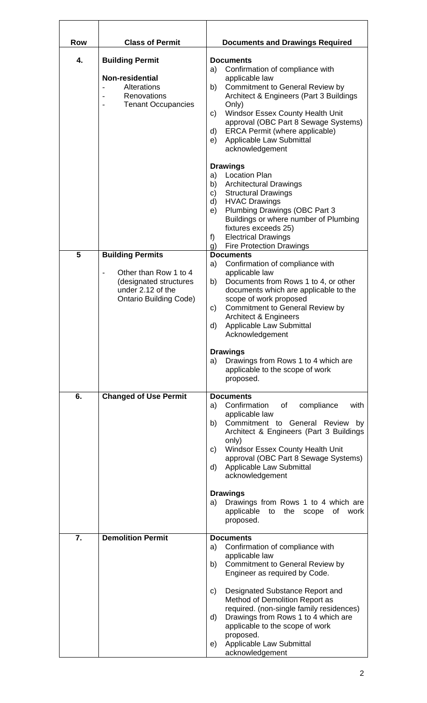| <b>Row</b> | <b>Class of Permit</b>                                                                                                           | <b>Documents and Drawings Required</b>                                                                                                                                                                                                                                                                                                                                                                                                                       |
|------------|----------------------------------------------------------------------------------------------------------------------------------|--------------------------------------------------------------------------------------------------------------------------------------------------------------------------------------------------------------------------------------------------------------------------------------------------------------------------------------------------------------------------------------------------------------------------------------------------------------|
| 4.         | <b>Building Permit</b><br><b>Non-residential</b><br>Alterations<br>Renovations<br><b>Tenant Occupancies</b>                      | <b>Documents</b><br>Confirmation of compliance with<br>a)<br>applicable law<br><b>Commitment to General Review by</b><br>b)<br>Architect & Engineers (Part 3 Buildings<br>Only)<br><b>Windsor Essex County Health Unit</b><br>C)<br>approval (OBC Part 8 Sewage Systems)<br>ERCA Permit (where applicable)<br>d)<br>Applicable Law Submittal<br>e)<br>acknowledgement                                                                                        |
|            |                                                                                                                                  | <b>Drawings</b><br><b>Location Plan</b><br>a)<br>b)<br><b>Architectural Drawings</b><br><b>Structural Drawings</b><br>c)<br><b>HVAC Drawings</b><br>d)<br>Plumbing Drawings (OBC Part 3<br>e)<br>Buildings or where number of Plumbing<br>fixtures exceeds 25)<br><b>Electrical Drawings</b><br>f)<br><b>Fire Protection Drawings</b><br>g)                                                                                                                  |
| 5          | <b>Building Permits</b><br>Other than Row 1 to 4<br>(designated structures<br>under 2.12 of the<br><b>Ontario Building Code)</b> | <b>Documents</b><br>Confirmation of compliance with<br>a)<br>applicable law<br>Documents from Rows 1 to 4, or other<br>b)<br>documents which are applicable to the<br>scope of work proposed<br><b>Commitment to General Review by</b><br>c)<br><b>Architect &amp; Engineers</b><br>d)<br><b>Applicable Law Submittal</b><br>Acknowledgement<br><b>Drawings</b><br>Drawings from Rows 1 to 4 which are<br>a)<br>applicable to the scope of work<br>proposed. |
| 6.         | <b>Changed of Use Permit</b>                                                                                                     | <b>Documents</b><br>Confirmation<br>a)<br>of<br>compliance<br>with<br>applicable law<br>Commitment to General Review<br>b)<br>by<br>Architect & Engineers (Part 3 Buildings<br>only)<br><b>Windsor Essex County Health Unit</b><br>C)<br>approval (OBC Part 8 Sewage Systems)<br>Applicable Law Submittal<br>d)<br>acknowledgement                                                                                                                           |
|            |                                                                                                                                  | <b>Drawings</b><br>Drawings from Rows 1 to 4 which are<br>a)<br>applicable to the scope of<br>work<br>proposed.                                                                                                                                                                                                                                                                                                                                              |
| 7.         | <b>Demolition Permit</b>                                                                                                         | <b>Documents</b><br>Confirmation of compliance with<br>a)<br>applicable law<br>Commitment to General Review by<br>b)<br>Engineer as required by Code.<br>Designated Substance Report and<br>C)<br>Method of Demolition Report as<br>required. (non-single family residences)<br>Drawings from Rows 1 to 4 which are<br>d)<br>applicable to the scope of work<br>proposed.<br>Applicable Law Submittal<br>e)<br>acknowledgement                               |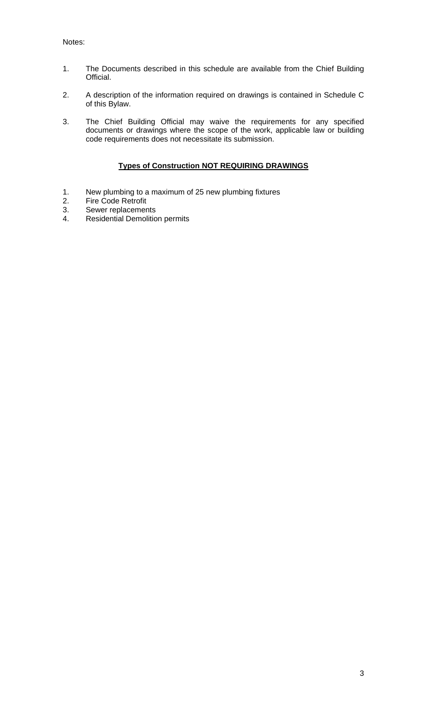- 1. The Documents described in this schedule are available from the Chief Building Official.
- 2. A description of the information required on drawings is contained in Schedule C of this Bylaw.
- 3. The Chief Building Official may waive the requirements for any specified documents or drawings where the scope of the work, applicable law or building code requirements does not necessitate its submission.

## **Types of Construction NOT REQUIRING DRAWINGS**

- 1. New plumbing to a maximum of 25 new plumbing fixtures<br>2. Fire Code Retrofit
- 2. Fire Code Retrofit<br>3. Sewer replacemen
- 3. Sewer replacements<br>4. Residential Demolitio
- Residential Demolition permits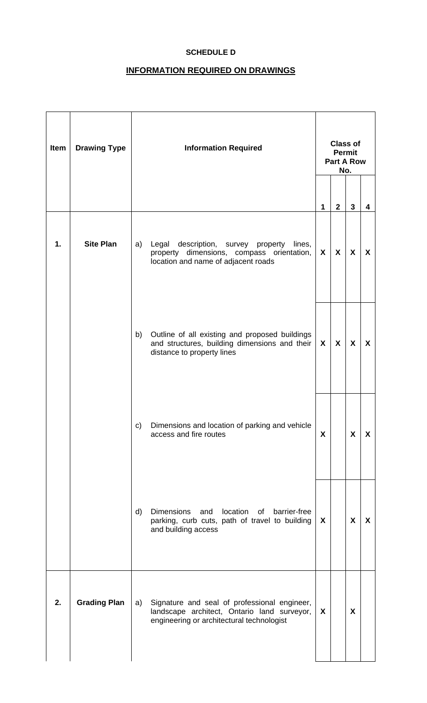## **SCHEDULE D**

## **INFORMATION REQUIRED ON DRAWINGS**

| Item | <b>Drawing Type</b> | <b>Information Required</b>                                                                                                                    | <b>Class of</b><br><b>Permit</b><br><b>Part A Row</b><br>No. |              |                  |                  |
|------|---------------------|------------------------------------------------------------------------------------------------------------------------------------------------|--------------------------------------------------------------|--------------|------------------|------------------|
|      |                     |                                                                                                                                                | 1                                                            | $\mathbf{2}$ | $\mathbf{3}$     | 4                |
| 1.   | <b>Site Plan</b>    | Legal description, survey property<br>a)<br>lines,<br>property dimensions, compass orientation,<br>location and name of adjacent roads         | $\mathsf{x}$                                                 | X            | X                | X                |
|      |                     | Outline of all existing and proposed buildings<br>b)<br>and structures, building dimensions and their<br>distance to property lines            | $\mathsf{X}$                                                 | X            | $\boldsymbol{X}$ | $\boldsymbol{X}$ |
|      |                     | Dimensions and location of parking and vehicle<br>c)<br>access and fire routes                                                                 | X                                                            |              | X                | X                |
|      |                     | location<br>barrier-free<br>d)<br>Dimensions<br>and<br>of<br>parking, curb cuts, path of travel to building<br>and building access             | X                                                            |              | X                | X                |
| 2.   | <b>Grading Plan</b> | Signature and seal of professional engineer,<br>a)<br>landscape architect, Ontario land surveyor,<br>engineering or architectural technologist | X                                                            |              | X                |                  |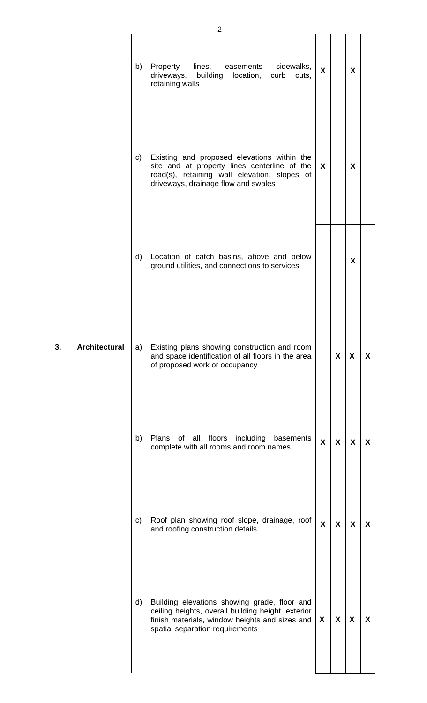|    |                      |    | $\overline{2}$                                                                                                                                                                          |                           |                           |              |   |
|----|----------------------|----|-----------------------------------------------------------------------------------------------------------------------------------------------------------------------------------------|---------------------------|---------------------------|--------------|---|
|    |                      | b) | Property<br>lines,<br>easements<br>sidewalks,<br>driveways,<br>building location,<br>curb<br>cuts,<br>retaining walls                                                                   | $\mathbf{x}$              |                           | X            |   |
|    |                      | C) | Existing and proposed elevations within the<br>site and at property lines centerline of the<br>road(s), retaining wall elevation, slopes of<br>driveways, drainage flow and swales      | $\mathsf{x}$              |                           | $\mathsf{X}$ |   |
|    |                      | d) | Location of catch basins, above and below<br>ground utilities, and connections to services                                                                                              |                           |                           | X            |   |
| 3. | <b>Architectural</b> | a) | Existing plans showing construction and room<br>and space identification of all floors in the area<br>of proposed work or occupancy                                                     |                           | X                         | X            | X |
|    |                      | b) | Plans<br>of all floors<br>including<br>basements<br>complete with all rooms and room names                                                                                              | X                         | $\boldsymbol{\mathsf{X}}$ | X            | X |
|    |                      | C) | Roof plan showing roof slope, drainage, roof<br>and roofing construction details                                                                                                        | $\boldsymbol{\mathsf{X}}$ | $\boldsymbol{\mathsf{X}}$ | X            | X |
|    |                      | d) | Building elevations showing grade, floor and<br>ceiling heights, overall building height, exterior<br>finish materials, window heights and sizes and<br>spatial separation requirements | X                         | X                         | X            | X |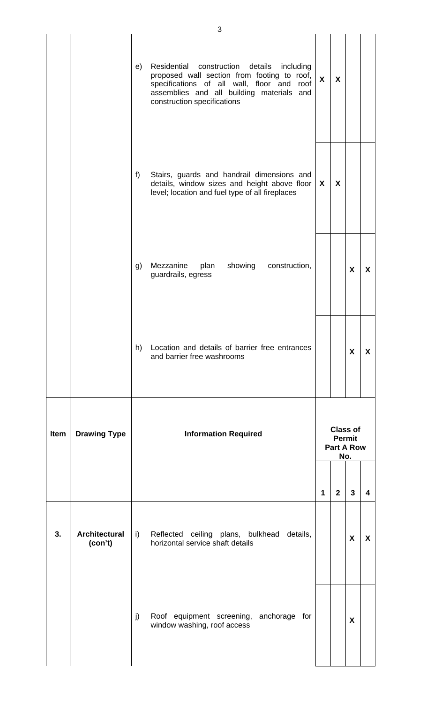|      |                                 |    | 3                                                                                                                                                                                                                            |                  |                |                                             |                  |
|------|---------------------------------|----|------------------------------------------------------------------------------------------------------------------------------------------------------------------------------------------------------------------------------|------------------|----------------|---------------------------------------------|------------------|
|      |                                 | e) | Residential<br>construction<br>details<br>including<br>proposed wall section from footing to roof,<br>specifications of all wall, floor and roof<br>assemblies and all building materials and<br>construction specifications | $\boldsymbol{X}$ | X              |                                             |                  |
|      |                                 | f) | Stairs, guards and handrail dimensions and<br>details, window sizes and height above floor<br>level; location and fuel type of all fireplaces                                                                                | X                | X              |                                             |                  |
|      |                                 | g) | Mezzanine<br>showing<br>construction,<br>plan<br>guardrails, egress                                                                                                                                                          |                  |                | X                                           | $\mathsf{x}$     |
|      |                                 | h) | Location and details of barrier free entrances<br>and barrier free washrooms                                                                                                                                                 |                  |                | X                                           | X                |
| Item | <b>Drawing Type</b>             |    | <b>Information Required</b>                                                                                                                                                                                                  |                  | <b>Permit</b>  | <b>Class of</b><br><b>Part A Row</b><br>No. |                  |
|      |                                 |    |                                                                                                                                                                                                                              | $\mathbf 1$      | $\overline{2}$ | $\mathbf{3}$                                | 4                |
| 3.   | <b>Architectural</b><br>(con't) | i) | Reflected ceiling plans, bulkhead details,<br>horizontal service shaft details                                                                                                                                               |                  |                | $\boldsymbol{X}$                            | $\boldsymbol{X}$ |
|      |                                 | j) | Roof equipment screening, anchorage for<br>window washing, roof access                                                                                                                                                       |                  |                | X                                           |                  |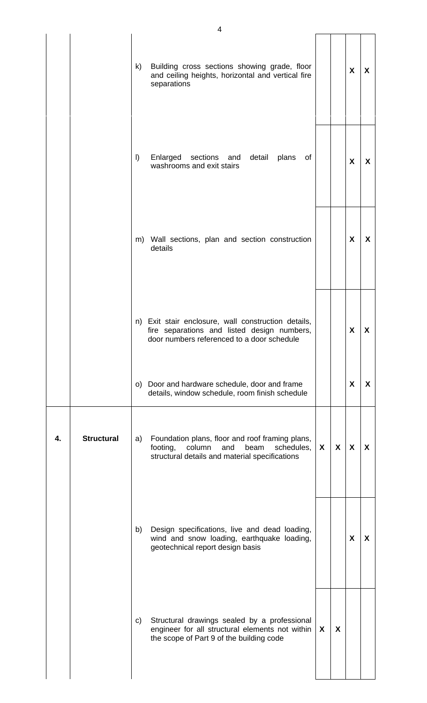|    |                   | k)      | Building cross sections showing grade, floor<br>and ceiling heights, horizontal and vertical fire<br>separations                                     |              |              | X | X |
|----|-------------------|---------|------------------------------------------------------------------------------------------------------------------------------------------------------|--------------|--------------|---|---|
|    |                   | $\vert$ | Enlarged<br>sections and<br>detail<br>plans<br>of<br>washrooms and exit stairs                                                                       |              |              | X | X |
|    |                   |         | m) Wall sections, plan and section construction<br>details                                                                                           |              |              | X | X |
|    |                   |         | n) Exit stair enclosure, wall construction details,<br>fire separations and listed design numbers,<br>door numbers referenced to a door schedule     |              |              | X | X |
|    |                   |         | o) Door and hardware schedule, door and frame<br>details, window schedule, room finish schedule                                                      |              |              | X | X |
| 4. | <b>Structural</b> | a)      | Foundation plans, floor and roof framing plans,<br>beam<br>footing,<br>column<br>and<br>schedules,<br>structural details and material specifications | $\mathsf{x}$ | $\mathsf{x}$ | X | X |
|    |                   | b)      | Design specifications, live and dead loading,<br>wind and snow loading, earthquake loading,<br>geotechnical report design basis                      |              |              | X | X |
|    |                   | C)      | Structural drawings sealed by a professional<br>engineer for all structural elements not within<br>the scope of Part 9 of the building code          | X            | X            |   |   |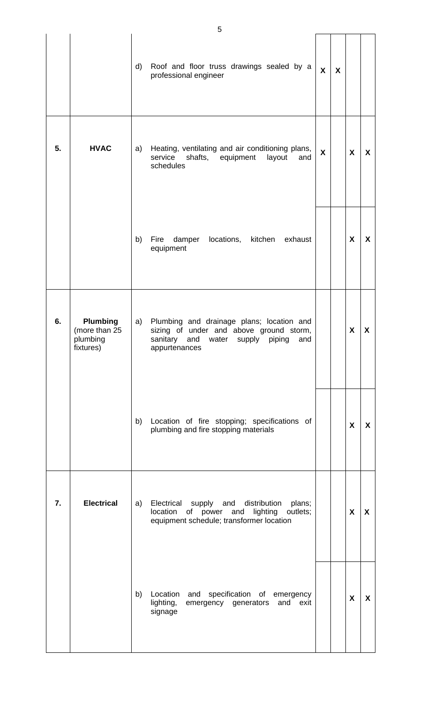|    |                                                           | d) | Roof and floor truss drawings sealed by a<br>professional engineer                                                                                     | $\boldsymbol{X}$ | X |                  |   |
|----|-----------------------------------------------------------|----|--------------------------------------------------------------------------------------------------------------------------------------------------------|------------------|---|------------------|---|
| 5. | <b>HVAC</b>                                               | a) | Heating, ventilating and air conditioning plans,<br>service<br>shafts, equipment<br>layout<br>and<br>schedules                                         | $\boldsymbol{X}$ |   | $\boldsymbol{X}$ | X |
|    |                                                           | b) | locations,<br>Fire<br>damper<br>kitchen<br>exhaust<br>equipment                                                                                        |                  |   | X                | X |
| 6. | <b>Plumbing</b><br>(more than 25<br>plumbing<br>fixtures) | a) | Plumbing and drainage plans; location and<br>sizing of under and above ground storm,<br>sanitary<br>and<br>water supply piping<br>and<br>appurtenances |                  |   | X                | X |
|    |                                                           | b) | Location of fire stopping; specifications of<br>plumbing and fire stopping materials                                                                   |                  |   | X                | X |
| 7. | <b>Electrical</b>                                         | a) | Electrical supply and distribution<br>plans;<br>of power and lighting outlets;<br>location<br>equipment schedule; transformer location                 |                  |   | X                | X |
|    |                                                           | b) | Location<br>specification of emergency<br>and<br>lighting,<br>emergency generators and exit<br>signage                                                 |                  |   | X                | X |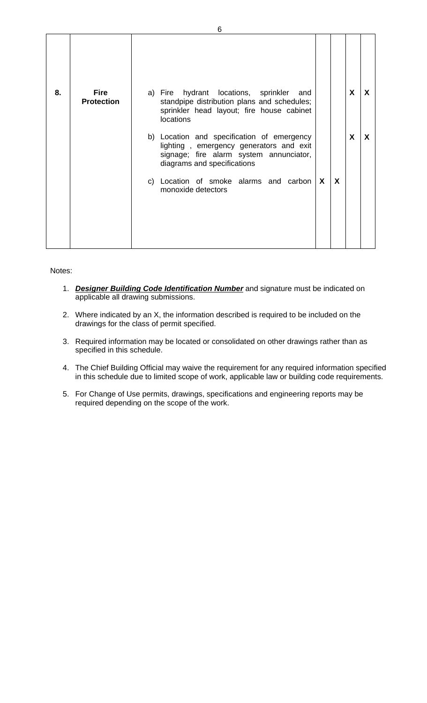|    |                                  | 6                                                                                                                                                               |                  |             |
|----|----------------------------------|-----------------------------------------------------------------------------------------------------------------------------------------------------------------|------------------|-------------|
|    |                                  |                                                                                                                                                                 |                  |             |
| 8. | <b>Fire</b><br><b>Protection</b> | a) Fire hydrant locations, sprinkler and<br>standpipe distribution plans and schedules;<br>sprinkler head layout; fire house cabinet<br>locations               | $\boldsymbol{X}$ | $\mathbf x$ |
|    |                                  | b) Location and specification of emergency<br>lighting, emergency generators and exit<br>signage; fire alarm system annunciator,<br>diagrams and specifications | X                | X           |
|    |                                  | X<br>X<br>c) Location of smoke alarms and carbon<br>monoxide detectors                                                                                          |                  |             |
|    |                                  |                                                                                                                                                                 |                  |             |

Notes:

- 1. *Designer Building Code Identification Number* and signature must be indicated on applicable all drawing submissions.
- 2. Where indicated by an X, the information described is required to be included on the drawings for the class of permit specified.
- 3. Required information may be located or consolidated on other drawings rather than as specified in this schedule.
- 4. The Chief Building Official may waive the requirement for any required information specified in this schedule due to limited scope of work, applicable law or building code requirements.
- 5. For Change of Use permits, drawings, specifications and engineering reports may be required depending on the scope of the work.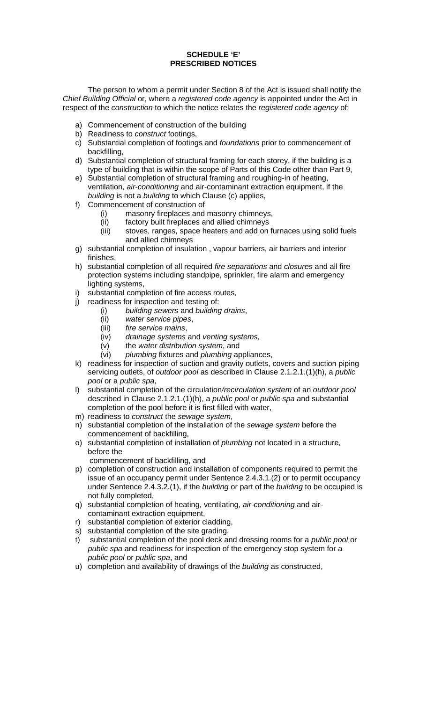#### **SCHEDULE 'E' PRESCRIBED NOTICES**

 The person to whom a permit under Section 8 of the Act is issued shall notify the *Chief Building Official* or, where a *registered code agency* is appointed under the Act in respect of the *construction* to which the notice relates the *registered code agency* of:

- a) Commencement of construction of the building
- b) Readiness to *construct* footings,
- c) Substantial completion of footings and *foundations* prior to commencement of backfilling,
- d) Substantial completion of structural framing for each storey, if the building is a type of building that is within the scope of Parts of this Code other than Part 9,
- e) Substantial completion of structural framing and roughing-in of heating, ventilation, *air-conditioning* and air-contaminant extraction equipment, if the *building* is not a *building* to which Clause (c) applies,
- f) Commencement of construction of
	- (i) masonry fireplaces and masonry chimneys,
	- (ii) factory built fireplaces and allied chimneys
	- (iii) stoves, ranges, space heaters and add on furnaces using solid fuels and allied chimneys
- g) substantial completion of insulation , vapour barriers, air barriers and interior finishes,
- h) substantial completion of all required *fire separations* and *closures* and all fire protection systems including standpipe, sprinkler, fire alarm and emergency lighting systems,
- i) substantial completion of fire access routes,
- j) readiness for inspection and testing of:
	- (i) *building sewers* and *building drains*,
	- (ii) *water service pipes*,
	- (iii) *fire service mains*,
	- (iv) *drainage systems* and *venting systems*,
	- (v) the *water distribution system*, and
	- (vi) *plumbing* fixtures and *plumbing* appliances,
- k) readiness for inspection of suction and gravity outlets, covers and suction piping servicing outlets, of *outdoor pool* as described in Clause 2.1.2.1.(1)(h), a *public pool* or a *public spa*,
- l) substantial completion of the circulation*/recirculation system* of an *outdoor pool* described in Clause 2.1.2.1.(1)(h), a *public pool* or *public spa* and substantial completion of the pool before it is first filled with water,
- m) readiness to *construct* the *sewage system*,
- n) substantial completion of the installation of the *sewage system* before the commencement of backfilling,
- o) substantial completion of installation of *plumbing* not located in a structure, before the
	- commencement of backfilling, and
- p) completion of construction and installation of components required to permit the issue of an occupancy permit under Sentence 2.4.3.1.(2) or to permit occupancy under Sentence 2.4.3.2.(1), if the *building* or part of the *building* to be occupied is not fully completed,
- q) substantial completion of heating, ventilating, *air-conditioning* and aircontaminant extraction equipment,
- r) substantial completion of exterior cladding,
- s) substantial completion of the site grading,
- t) substantial completion of the pool deck and dressing rooms for a *public pool* or *public spa* and readiness for inspection of the emergency stop system for a *public pool* or *public spa*, and
- u) completion and availability of drawings of the *building* as constructed,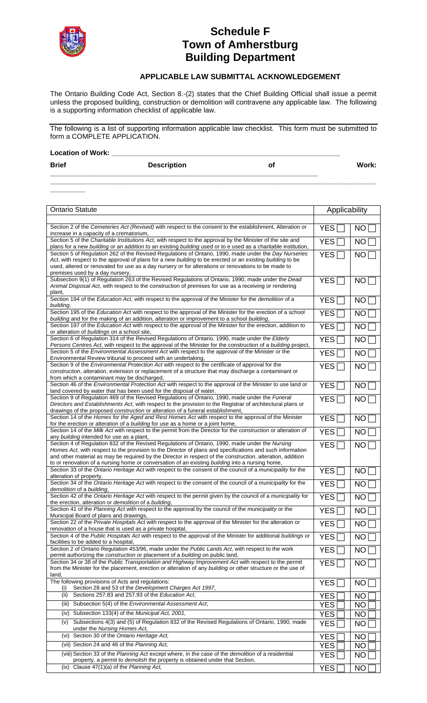

## **Schedule F Town of Amherstburg Building Department**

## **APPLICABLE LAW SUBMITTAL ACKNOWLEDGEMENT**

The Ontario Building Code Act, Section 8.-(2) states that the Chief Building Official shall issue a permit unless the proposed building, construction or demolition will contravene any applicable law. The following is a supporting information checklist of applicable law.

The following is a list of supporting information applicable law checklist. This form must be submitted to form a COMPLETE APPLICATION.

| <b>Location of Work:</b> |                    |    |       |
|--------------------------|--------------------|----|-------|
| <b>Brief</b>             | <b>Description</b> | Οl | Work: |

**\_\_\_\_\_\_\_\_\_\_\_\_\_\_\_\_\_\_\_\_\_\_\_\_\_\_\_\_\_\_\_\_\_\_\_\_\_\_\_\_\_\_\_\_\_\_\_\_\_\_\_\_\_\_\_\_\_\_\_\_\_\_\_\_\_\_\_\_\_\_\_\_\_\_\_\_\_\_\_\_\_\_\_\_**

**\_\_\_\_\_\_\_\_\_**  Ontario Statute **Applicability** Applicability Section 2 of the *Cemeteries Act (Revised)* with respect to the consent to the establishment, Alteration or increase in a capacity of a crematorium,  $YES \Box$  No  $\Box$ Section 5 of the *Charitable Institutions Act,* with respect to the approval by the Minister of the site and plans for a new *building* or an addition to an existing *building* used or to e used as a charitable institution,  $\mathsf{YES} \sqcap \mathsf{I}$  no  $\sqcap$ Section 5 of Regulation 262 of the Revised Regulations of Ontario, 1990, made under the *Day Nurseries Act*, with respect to the approval of plans for a new *building* to be erected or an existing *building* to be used, altered or renovated for use as a day nursery or for alterations or renovations to be made to premises used by a day nursery,  $\mathsf{YES} \sqcap \mathsf{I}$  no i Subsection 9(1) of Regulation 263 of the Revised Regulations of Ontario, 1990, made under the *Dead Animal Disposal Act*, with respect to the construction of premises for use as a receiving or rendering plant,  $YES$   $\Box$   $\Box$   $NO$   $\Box$ Section 194 of the *Education Act*, with respect to the approval of the Minister for the *demolition* of a **Action 194 of the** *Education Act***, with respect to the approval of the Minister for the** *demolition* **of a <b>Action** Section 195 of the *Education Act* with respect to the approval of the Minister for the erection of a school **building** and for the *Education Act* with respect to the approval of the Minister for the erection of a school **YES INO [**<br>*building* and for the making of an addition, alteration or improvement to a school *building*, Section 197 of the *Education Act* with respect to the approval of the Minister for the erection, addition to or alteration of *buildings* on a school site,  $\mathsf{YES} \sqcap \mathsf{I}$  no  $\mathsf{\Gamma}$ Section 6 of Regulation 314 of the Revised Regulations of Ontario, 1990, made under the *Elderly Persons Centres Act*, with respect to the approval of the Minister for the construction of a *building* project,  $YES \Box$  NO Section 5 of the *Environmental Assessment Act* with respect to the approval of the Minister or the Environmental Review tribunal to proceed with an undertaking,  $YES \Box$  NO Section 9 of the *Environmental Protection Act* with respect to the certificate of approval for the *construction*, alteration, extension or replacement of a structure that may discharge a contaminant or from which a contaminant may be discharged,  $\mathsf{YES} \sqcap \mathsf{I}$  no f Section 46 of the *Environmental Protection Act* with respect to the approval of the Minister to use land or land covered by water that has been used for the disposal of water.  $YES\Box$  | NO  $\Box$ Section 9 of Regulation 469 of the Revised Regulations of Ontario, 1990, made under the *Funeral Directors and Establishments Act*, with respect to the provision to the Registrar of architectural plans or drawings of the proposed *construction* or alteration of a funeral establishment,  $\mathsf{YES} \sqcap \mathsf{I}$  no f Section 14 of the *Homes for the Aged and Rest Homes Act* with respect to the approval of the Minister for the erection or alteration of a *building* for use as a home or a joint home,  $YES \Box$  No  $\Box$ Section 14 of the *Milk Act* with respect to the permit from the Director for the *construction* or alteration of any *building* intended for use as a plant,  $YES \Box$  | NO [ Section 4 of Regulation 832 of the Revised Regulations of Ontario, 1990, made under the *Nursing Homes Act*, with respect to the provision to the Director of plans and specifications and such information and other material as may be required by the Director in respect of the *construction*, alteration, addition to or renovation of a nursing home or conversation of an existing *building* into a nursing home, YES  $\sqcap \mid$  no  $\sqcap$ Section 33 of the *Ontario Heritage Act* with respect to the consent of the council of a *municipality* for the alteration of property,  $YES \Box$  NO  $\Box$ Section 34 of the *Ontario Heritage Act* with respect to the consent of the council of a *municipality* for the  $\overline{\phantom{a}}$  **YES**  $\overline{\phantom{a}}$  **NO**  $\overline{\phantom{a}}$ Section 42 of the *Ontario Heritage Act* with respect to the permit given by the council of a *municipality* for  $\mid$  YES  $\mid$  NO  $\mid$ Section 41 of the *Planning Act* with respect to the approval by the council of the *municipality* or the Municipal Board of plans and drawings,  $YES \Box$  No  $\Box$ Section 22 of the *Private Hospitals Act* with respect to the approval of the Minister for the alteration or renovation of a house that is used as a private hospital,  $YES \Box$  NO  $\Box$ Section 4 of the *Public Hospitals Act* with respect to the approval of the Minister for additional *buildings* or facilities to be added to a hospital,  $YES$   $\Box$   $\parallel$  NO  $\Box$ Section 2 of Ontario Regulation 453/96, made under the *Public Lands Act*, with respect to the work permit authorizing the *construction* or placement of a *building* on public land,  $YES\Box$  | NO  $\Box$ Section 34 or 38 of the *Public Transportation and Highway Improvement Act* with respect to the permit from the Minister for the placement, erection or alteration of any *building* or other structure or the use of land,  $YES \Box$  NO The following provisions of Acts and regulations: following provisions of Acts and regulations:<br>
(i) Section 28 and 53 of the *Development Charges Act 1997*, (ii) Sections 257.83 and 257.93 of the *Education Act*,  $\overline{Y}$   $\overline{Y}$   $\overline{Y}$   $\overline{Y}$   $\overline{Y}$   $\overline{Y}$   $\overline{Y}$   $\overline{Y}$   $\overline{Y}$   $\overline{Y}$   $\overline{Y}$   $\overline{Y}$   $\overline{Y}$   $\overline{Y}$   $\overline{Y}$   $\overline{Y}$   $\overline{Y}$   $\overline{Y}$   $\over$  (iii) Subsection 5(4) of the *Environmental Assessment Act*, YES NO (iv) Subsection 133(4) of the *Municipal Act, 2001*,  $\vert$  YES  $\vert$  NO  $\vert$ 

(v) Subsections 4(3) and (5) of Regulation 832 of the Revised Regulations of Ontario, 1990, made

(viii) Section 33 of the *Planning Act* except where, in the case of the *demolition* of a residential

property, a permit to *demolish* the property is obtained under that Section,

(vi) Section 30 of the *Ontario Heritage Act,*  $\vert$  YES  $\vert$  NO  $\vert$ (vii) Section 24 and 46 of the *Planning Act,* YES **NO** 

(ix) Clause 47(1)(a) of the *Planning Act,* YES NO

 $\mathsf{YES} \sqcap \mathsf{I}$  no f

 $YES$   $\Box$   $\parallel$  NO  $\lbrack$ 

under the *Nursing Homes Act,*